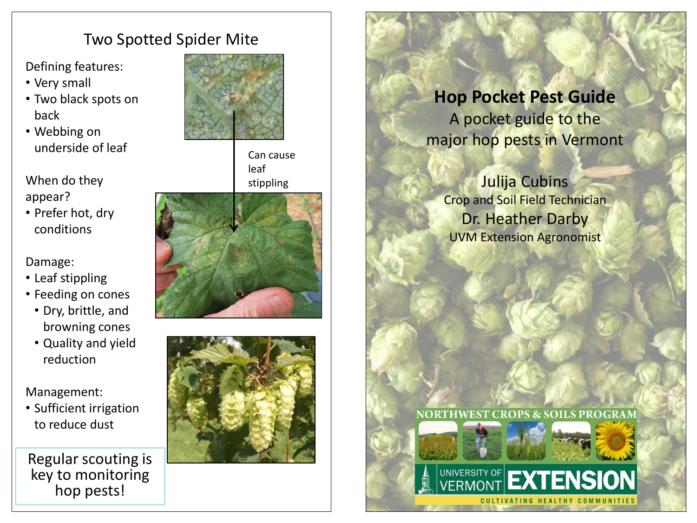# Two Spotted Spider Mite

Defining features:

- Very small
- Two black spots on back
- Webbing on underside of leaf

When do they appear?

• Prefer hot, dry conditions

Damage:

- Leaf stippling
- Feeding on cones
	- Dry, brittle, and browning cones
	- Quality and yield reduction

Management:

• Sufficient irrigation to reduce dust

Regular scouting is key to monitoring hop pests!



Can cause leaf stippling





# **Hop Pocket Pest Guide** A pocket guide to the major hop pests in Vermont

Julija Cubins Crop and Soil Field Technician Dr. Heather Darby UVM Extension Agronomist

**NORTHWEST CROPS & SOILS PROGRAM**